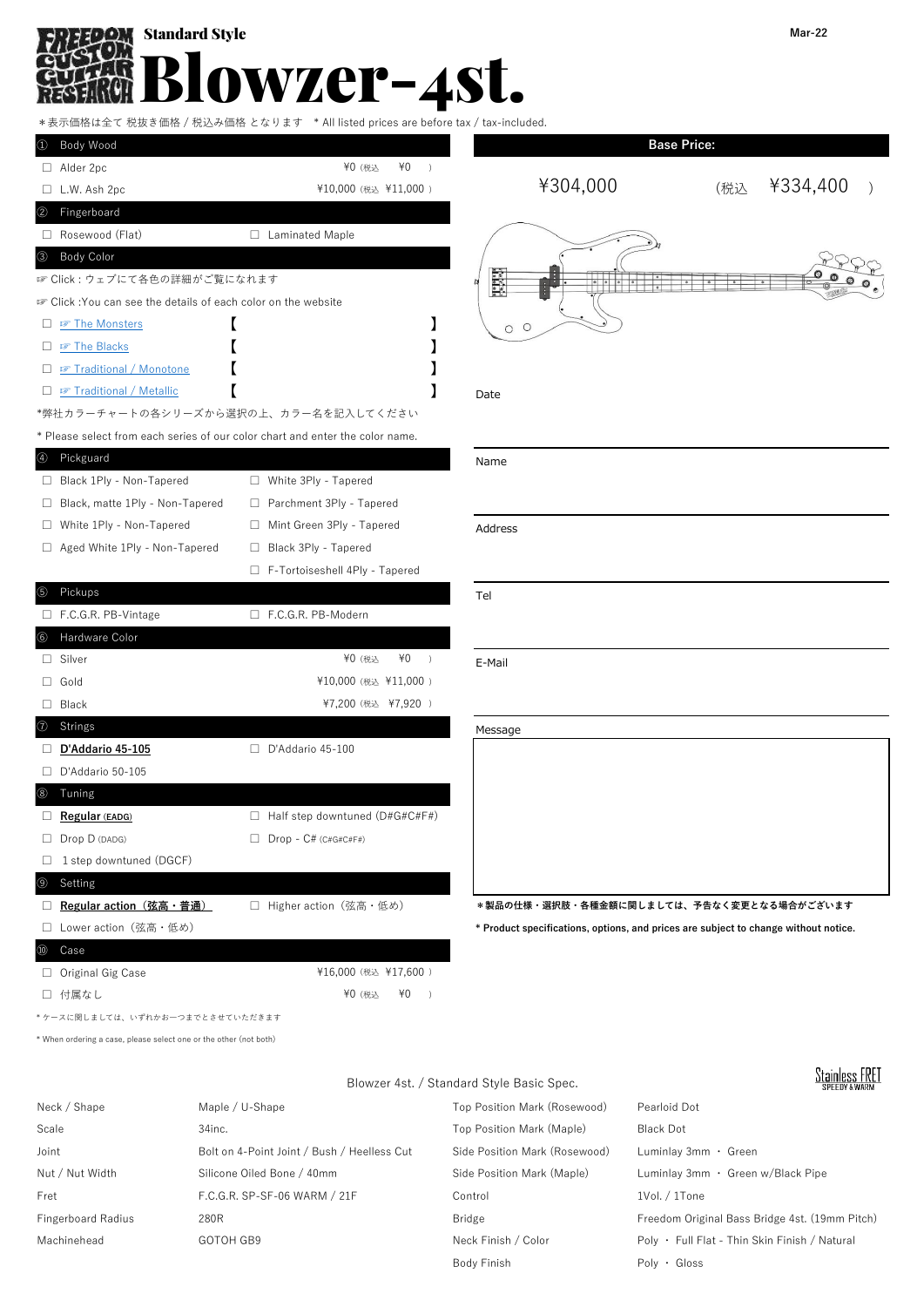### Standard Style Blowzer-4st. Ж RE 131

\*表示価格は全て 税抜き価格 / 税込み価格 となります \* All listed prices are before tax / tax-included.

| 1 Body Wood                                                                   |                                       | <b>Base Price:</b>                                                                  |                 |
|-------------------------------------------------------------------------------|---------------------------------------|-------------------------------------------------------------------------------------|-----------------|
| $\Box$ Alder 2pc                                                              | ¥0<br>¥0 (税込<br>$\rightarrow$         |                                                                                     |                 |
| $\Box$ L.W. Ash 2pc                                                           | ¥10,000 (税込 ¥11,000)                  | ¥304,000                                                                            | ¥334,400<br>(税込 |
| 2 Fingerboard                                                                 |                                       |                                                                                     |                 |
| Rosewood (Flat)                                                               | □ Laminated Maple                     |                                                                                     |                 |
| 3 Body Color                                                                  |                                       |                                                                                     |                 |
| ☞ Click : ウェブにて各色の詳細がご覧になれます                                                  |                                       | Ë.                                                                                  |                 |
| ☞ Click :You can see the details of each color on the website                 |                                       |                                                                                     |                 |
| $\Box$ $\mathcal{F}$ The Monsters                                             |                                       | $O$ $O$                                                                             |                 |
| $\Box$ $\blacksquare$ The Blacks                                              |                                       |                                                                                     |                 |
| □ ☞ Traditional / Monotone                                                    |                                       |                                                                                     |                 |
| □ <i>o</i> Traditional / Metallic                                             |                                       | Date                                                                                |                 |
| *弊社カラーチャートの各シリーズから選択の上、カラー名を記入してください                                          |                                       |                                                                                     |                 |
| * Please select from each series of our color chart and enter the color name. |                                       |                                                                                     |                 |
| 4 Pickguard                                                                   |                                       | Name                                                                                |                 |
| □ Black 1Ply - Non-Tapered                                                    | □ White 3Ply - Tapered                |                                                                                     |                 |
| □ Black, matte 1Ply - Non-Tapered                                             | □ Parchment 3Ply - Tapered            |                                                                                     |                 |
| □ White 1Ply - Non-Tapered                                                    | □ Mint Green 3Ply - Tapered           | Address                                                                             |                 |
| □ Aged White 1Ply - Non-Tapered                                               | □ Black 3Ply - Tapered                |                                                                                     |                 |
|                                                                               | F-Tortoiseshell 4Ply - Tapered        |                                                                                     |                 |
| 5 Pickups                                                                     |                                       | Tel                                                                                 |                 |
| $\Box$ F.C.G.R. PB-Vintage                                                    | □ F.C.G.R. PB-Modern                  |                                                                                     |                 |
| 6 Hardware Color                                                              |                                       |                                                                                     |                 |
| $\Box$ Silver                                                                 | ¥0 (税込<br>¥0<br>$\rightarrow$         | E-Mail                                                                              |                 |
| $\Box$ Gold                                                                   | ¥10,000 (税込 ¥11,000)                  |                                                                                     |                 |
| $\Box$ Black                                                                  | ¥7,200 (税込 ¥7,920)                    |                                                                                     |                 |
| ⑦ Strings                                                                     |                                       | Message                                                                             |                 |
| D'Addario 45-105                                                              | $\Box$ D'Addario 45-100               |                                                                                     |                 |
| $\Box$ D'Addario 50-105                                                       |                                       |                                                                                     |                 |
| 8 Tuning                                                                      |                                       |                                                                                     |                 |
| Regular (EADG)                                                                | $\Box$ Half step downtuned (D#G#C#F#) |                                                                                     |                 |
| $\Box$ Drop D (DADG)                                                          | $\Box$ Drop - C# (C#G#C#F#)           |                                                                                     |                 |
| $\Box$ 1 step downtuned (DGCF)                                                |                                       |                                                                                     |                 |
| ⊚<br>Setting                                                                  |                                       |                                                                                     |                 |
| □ Regular action (弦高・普通)                                                      | □ Higher action (弦高・低め)               | *製品の仕様・選択肢・各種金額に関しましては、予告なく変更となる場合がございます                                            |                 |
| □ Lower action (弦高・低め)                                                        |                                       | * Product specifications, options, and prices are subject to change without notice. |                 |
| Case                                                                          |                                       |                                                                                     |                 |
| $\Box$ Original Gig Case                                                      | ¥16,000 (税込 ¥17,600)                  |                                                                                     |                 |
| □ 付属なし                                                                        | ¥0 (税込<br>¥0<br>$\rightarrow$         |                                                                                     |                 |
| ケースに関しましては、いずれかお一つまでとさせていただきます                                                |                                       |                                                                                     |                 |

\* When ordering a case, please select one or the other (not both)

Blowzer 4st. / Standard Style Basic Spec.

# **Stainless FRET**

| Neck / Shape       | Maple / U-Shape                             | Top Position Mark (Rosewood)  | Pearloid Dot                                   |
|--------------------|---------------------------------------------|-------------------------------|------------------------------------------------|
| Scale              | $34$ inc.                                   | Top Position Mark (Maple)     | <b>Black Dot</b>                               |
| Joint              | Bolt on 4-Point Joint / Bush / Heelless Cut | Side Position Mark (Rosewood) | Luminlav 3mm · Green                           |
| Nut / Nut Width    | Silicone Oiled Bone / 40mm                  | Side Position Mark (Maple)    | Luminlay 3mm · Green w/Black Pipe              |
| Fret               | F.C.G.R. SP-SF-06 WARM / 21F                | Control                       | $1$ Vol. $/1$ Tone                             |
| Fingerboard Radius | 280R                                        | Bridge                        | Freedom Original Bass Bridge 4st. (19mm Pitch) |
| Machinehead        | GOTOH GB9                                   | Neck Finish / Color           | Poly • Full Flat - Thin Skin Finish / Natural  |
|                    |                                             | Body Finish                   | $Poly \cdot$ Gloss                             |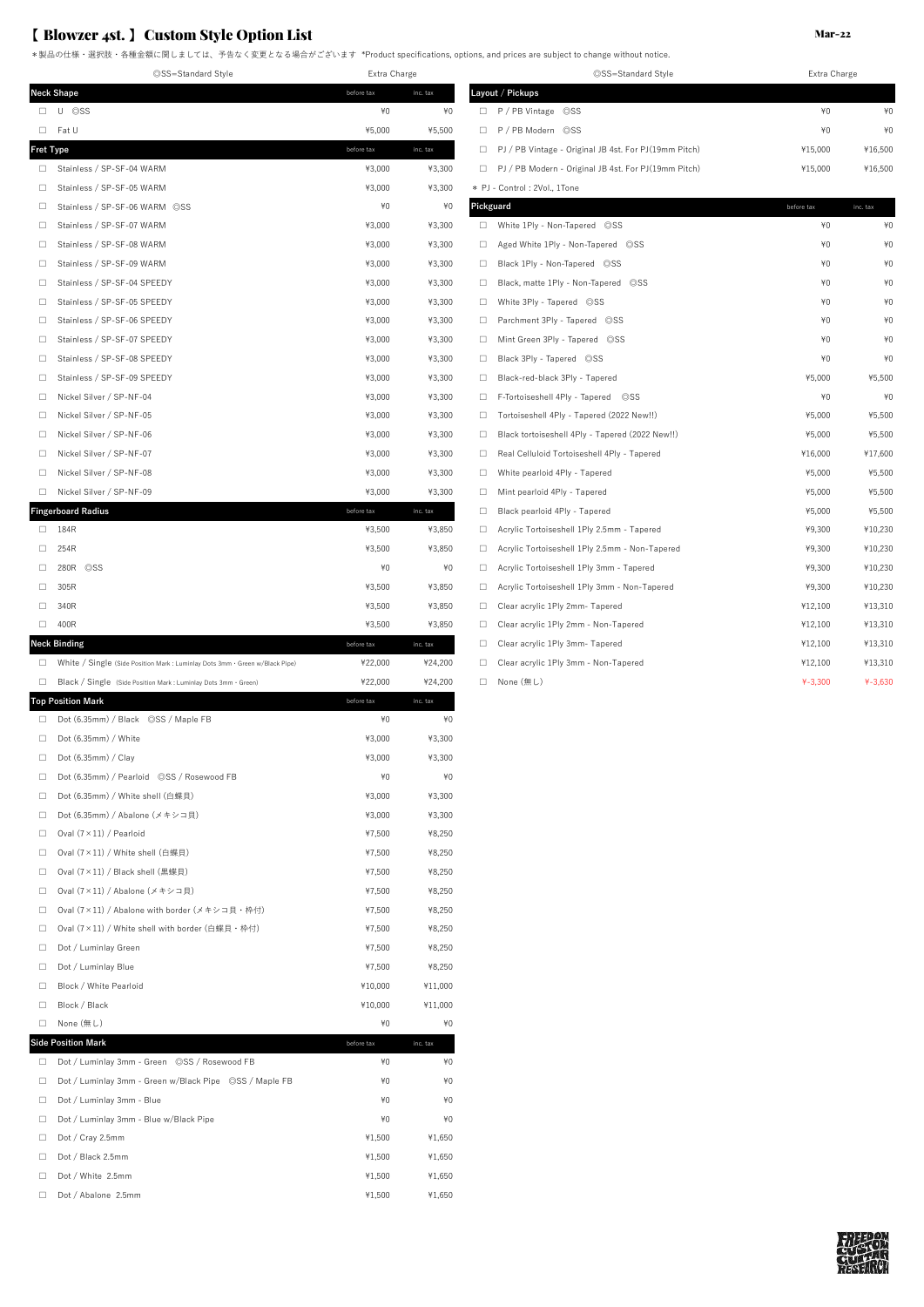## 【 Blowzer 4st. 】 Custom Style Option List

\*製品の仕様・選択肢・各種金額に関しましては、予告なく変更となる場合がございます \*Product specifications, options, and prices are subject to change without notice.

◎SS=Standard Style Extra Charge ◎SS=Standard Style Extra Charge **Neck Shape before tax** inc. tax **Layout / Pickups** □ U ◎SS ¥0 ¥0 □ P / PB Vintage ◎SS ¥0 ¥0 □ Fat U ¥5,000 ¥5,500 □ P / PB Modern ◎SS ¥0 ¥0 **Fret Type before tax** inc. tax inc. tax □ PJ / PB Vintage - Original JB 4st. For PJ(19mm Pitch) ¥15,000 ¥16,500 ¥16,500 □ Stainless / SP-SF-04 WARM  $\uparrow$  93,000  $\uparrow$  +3,300 □ Stainless / SP-SF-05 WARM ¥3,000 ¥3,300 \* PJ - Control : 2Vol., 1Tone □ Stainless / SP-SF-06 WARM ◎SS **Pickguard +0**  $\star$ 0 **P** □ Stainless / SP-SF-07 WARM ¥3,000 ¥3,300 □ White 1Ply - Non-Tapered ◎SS ¥0 ¥0 □ Stainless / SP-SF-08 WARM ¥3,000 ¥3,300 □ Aged White 1Ply - Non-Tapered ◎SS ¥0 ¥0 □ Stainless / SP-SF-09 WARM ¥3,000 ¥3,300 □ Black 1Ply - Non-Tapered ◎SS ¥0 ¥0 □ Stainless / SP-SF-04 SPEEDY ¥3,000 ¥3,300 □ Black, matte 1Ply - Non-Tapered ◎SS ¥0 ¥0 □ Stainless / SP-SF-05 SPEEDY ¥3,000 ¥3,300 □ White 3Ply - Tapered ◎SS ¥0 ¥0 □ Stainless / SP-SF-06 SPEEDY ¥3,000 ¥3,300 □ Parchment 3Ply - Tapered ◎SS ¥0 ¥0 □ Stainless / SP-SF-07 SPEEDY ¥3,000 ¥3,300 □ Mint Green 3Ply - Tapered ◎SS ¥0 ¥0 □ Stainless / SP-SF-08 SPEEDY ¥3,000 ¥3,300 □ Black 3Ply - Tapered ◎SS ¥0 ¥0  $\Box$  Stainless / SP-SF-09 SPEEDY  $\Box$   $\Box$  Black-red-black 3Ply - Tapered  $\Box$  Black-red-black 3Ply - Tapered  $\Box$  Black-red-black 3Ply - Tapered  $\Box$  Black 3Ply - Tapered  $\Box$  Black-red-black 3Ply - Tapered  $\Box$  Black-re  $\Box$  Nickel Silver / SP-NF-04  $\angle$  + Tapered  $\angle$  + Tapered  $\angle$  + Tapered  $\angle$  + Tapered  $\angle$ □ Nickel Silver / SP-NF-05 ¥3,000 ¥3,300 □ Tortoiseshell 4Ply - Tapered (2022 New!!) ¥5,000 ¥5,500 □ Nickel Silver / SP-NF-06 ¥3,000 ¥3,300 □ Black tortoiseshell 4Ply - Tapered (2022 New!!) ¥5,000 ¥5,500 □ Nickel Silver / SP-NF-07 ¥3,000 ¥3,300 □ Real Celluloid Tortoiseshell 4Ply - Tapered ¥16,000 ¥17,600 □ Nickel Silver / SP-NF-08 ¥3,000 ¥3,300 □ White pearloid 4Ply - Tapered ¥5,000 ¥5,500 □ Nickel Silver / SP-NF-09 ¥3,000 ¥3,300 □ Mint pearloid 4Ply - Tapered ¥5,000 ¥5,500 **Fingerboard Radius before tax** inc. tax □ Black pearloid 4Ply - Tapered ¥5,000 ¥5,500 ¥5,500 × ¥5,500 ¥5,500 □ 184R ¥3,500 ¥3,850 □ Acrylic Tortoiseshell 1Ply 2.5mm - Tapered ¥9,300 ¥10,230 □ 254R ¥3,500 ¥3,850 □ Acrylic Tortoiseshell 1Ply 2.5mm - Non-Tapered ¥9,300 ¥10,230 □ 280R ◎SS ¥0 ¥0 □ Acrylic Tortoiseshell 1Ply 3mm - Tapered ¥9,300 ¥10,230 □ 305R ¥3,500 ¥3,850 □ Acrylic Tortoiseshell 1Ply 3mm - Non-Tapered ¥9,300 ¥10,230 □ 340R ¥3,500 ¥3,850 □ Clear acrylic 1Ply 2mm- Tapered ¥12,100 ¥13,310  $\Box$  400R  $\Box$  412,100  $\Box$  Clear acrylic 1Ply 2mm - Non-Tapered  $\Box$  412,100  $\Box$  413,310 **Neck Binding** ★12,100 ★13,310 ★13,310 before tax inc. tax □ Clear acrylic 1Ply 3mm- Tapered ★12,100 → ¥12,100 → ¥13,310 □ White / Single (Side Position Mark : Luminlay Dots 3mm - Green w/Black Pipe) ¥22,000 ¥24,200 □ Black / Single (Side Position Mark : Luminlay Dots 3mm・Green) ¥22,000 ¥24,200 □ None (無し) ¥-3,300 ¥-3,630 **Top Position Mark inc.** tax **before tax before tax inc.** tax  $\Box$  Dot (6.35mm) / Black  $\oslash$ SS / Maple FB  $\uparrow$   $\uparrow$   $\uparrow$   $\downarrow$   $\uparrow$   $\downarrow$   $\downarrow$  $\Box$  Dot (6.35mm) / White  $\Box$  2.000  $\ddot{ }$  +3.300  $\ddot{ }$  +3.300 □ Dot (6.35mm) / Clay ¥3,000 ¥3,300 □ Dot (6.35mm) / Pearloid ◎SS / Rosewood FB ¥0 ¥0 □ Dot (6.35mm) / White shell (白蝶貝) ¥3.000 ¥3.300 □ Dot (6.35mm) / Abalone (メキシコ貝) ¥3,000 ¥3,300

 $\Box$  Oval  $(7 \times 11)$  / Pearloid  $*8,250$ □ Oval  $(7 \times 11)$  / White shell (白蝶貝)  $\qquad$   $\qquad$   $\qquad$   $\qquad$   $\qquad$   $\qquad$   $\qquad$   $\qquad$   $\qquad$   $\qquad$   $\qquad$   $\qquad$   $\qquad$   $\qquad$   $\qquad$   $\qquad$   $\qquad$   $\qquad$   $\qquad$   $\qquad$   $\qquad$   $\qquad$   $\qquad$   $\qquad$   $\qquad$   $\qquad$   $\qquad$   $\qquad$   $\qquad$   $\qquad$  □ Oval  $(7 \times 11)$  / Black shell (黒蝶貝)  $\angle$  47,500  $\angle$  48,250 □ Oval (7×11) / Abalone (メキシコ貝) ¥7,500 ¥8,250 □ Oval (7×11) / Abalone with border (メキシコ貝・枠付)  $\qquad$  ¥7,500 ¥8,250 □ Oval (7×11) / White shell with border (白蝶貝・枠付) 47,500 ¥8,250  $\Box$  Dot / Luminlay Green  $\Box$  Dot / Luminlay Green  $\Box$  $\Box$  Dot / Luminlay Blue  $\angle$  47,500  $\angle$  48,250 □ Block / White Pearloid ¥10,000 ¥11,000 □ Block / Black ¥10,000 ¥11,000 □ None (無し)  $\angle$  ¥0  $\angle$  ¥0  $\angle$  ¥0  $\angle$  ¥0 **Side Position Mark** □ Dot / Luminlay 3mm - Green ◎SS / Rosewood FB ¥0 ¥0 □ Dot / Luminlay 3mm - Green w/Black Pipe ◎SS / Maple FB ¥0 ¥0  $\Box$  Dot / Luminlay 3mm - Blue  $\angle$   $\angle$  40  $\angle$  40  $\angle$  40  $\angle$  40  $\angle$  40  $\angle$  40  $\angle$  40  $\angle$  40  $\angle$  40  $\angle$  40  $\angle$  40  $\angle$  40  $\angle$  40  $\angle$  40  $\angle$  40  $\angle$  40  $\angle$  40  $\angle$  40  $\angle$  40  $\angle$  40  $\angle$  40  $\angle$  40  $\angle$  40 □ Dot / Luminlay 3mm - Blue w/Black Pipe  $\frac{40}{40}$   $\frac{40}{40}$   $\frac{40}{40}$ □ Dot / Cray 2.5mm ¥1,500 ¥1,650  $\Box$  Dot / Black 2.5mm  $\Box$  Dot / Black 2.5mm □ Dot / White 2.5mm ¥1,500 ¥1,650 □ Dot / Abalone 2.5mm ¥1,500 ¥1,650

| ©SS=Standard Style                                          | Extra Charge |          |  |
|-------------------------------------------------------------|--------------|----------|--|
| ayout / Pickups                                             |              |          |  |
| P / PB Vintage<br>$\circ$ SS<br>□                           | ¥0           | ¥0       |  |
| □<br>P / PB Modern ©SS                                      | ¥0           | ¥0       |  |
| PJ / PB Vintage - Original JB 4st. For PJ (19mm Pitch)<br>□ | ¥15,000      | ¥16,500  |  |
| PJ / PB Modern - Original JB 4st. For PJ (19mm Pitch)<br>□  | ¥15,000      | ¥16,500  |  |
| PJ - Control: 2Vol., 1Tone                                  |              |          |  |
| ckguard                                                     | before tax   | inc. tax |  |
| White 1Ply - Non-Tapered ©SS<br>□                           | ¥0           | ¥0       |  |
| □<br>Aged White 1Ply - Non-Tapered ©SS                      | ¥0           | ¥0       |  |
| Black 1Ply - Non-Tapered ©SS<br>□                           | ¥0           | ¥0       |  |
| □<br>Black, matte 1Ply - Non-Tapered ©SS                    | ¥0           | ¥0       |  |
| □<br>White 3Ply - Tapered ©SS                               | ¥0           | ¥0       |  |
| Parchment 3Ply - Tapered ©SS<br>□                           | ¥0           | ¥0       |  |
| Mint Green 3Ply - Tapered ©SS<br>□                          | ¥0           | ¥0       |  |
| Black 3Ply - Tapered ©SS<br>□                               | ¥0           | ¥0       |  |
| Black-red-black 3Ply - Tapered<br>□                         | ¥5,000       | ¥5,500   |  |
| □<br>F-Tortoiseshell 4Ply - Tapered<br>$\circ$ SS           | ¥0           | ¥0       |  |
| Tortoiseshell 4Ply - Tapered (2022 New!!)<br>□              | ¥5,000       | ¥5,500   |  |
| Black tortoiseshell 4Ply - Tapered (2022 New!!)<br>□        | ¥5,000       | ¥5,500   |  |
| Real Celluloid Tortoiseshell 4Ply - Tapered<br>□            | ¥16,000      | ¥17,600  |  |
| White pearloid 4Ply - Tapered<br>□                          | ¥5,000       | ¥5,500   |  |
| □<br>Mint pearloid 4Ply - Tapered                           | ¥5,000       | ¥5,500   |  |
| Black pearloid 4Ply - Tapered<br>□                          | ¥5,000       | ¥5,500   |  |
| Acrylic Tortoiseshell 1Ply 2.5mm - Tapered<br>□             | ¥9,300       | ¥10,230  |  |
| □<br>Acrylic Tortoiseshell 1Ply 2.5mm - Non-Tapered         | ¥9,300       | ¥10,230  |  |
| Acrylic Tortoiseshell 1Ply 3mm - Tapered<br>□               | ¥9,300       | ¥10,230  |  |
| Acrylic Tortoiseshell 1Ply 3mm - Non-Tapered<br>□           | ¥9,300       | ¥10,230  |  |
| □<br>Clear acrylic 1Ply 2mm- Tapered                        | ¥12,100      | ¥13,310  |  |
| Clear acrylic 1Ply 2mm - Non-Tapered<br>□                   | ¥12,100      | ¥13,310  |  |
| Clear acrylic 1Ply 3mm- Tapered<br>□                        | ¥12,100      | ¥13,310  |  |
| □<br>Clear acrylic 1Ply 3mm - Non-Tapered                   | ¥12,100      | ¥13,310  |  |